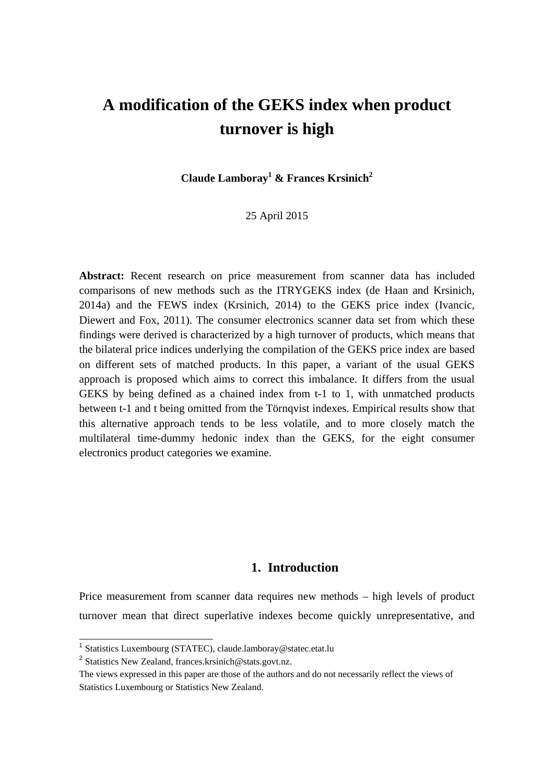# **A modification of the GEKS index when product turnover is high**

**Claude Lamboray<sup>1</sup> & Frances Krsinich2**

25 April 2015

**Abstract:** Recent research on price measurement from scanner data has included comparisons of new methods such as the ITRYGEKS index (de Haan and Krsinich, 2014a) and the FEWS index (Krsinich, 2014) to the GEKS price index (Ivancic, Diewert and Fox, 2011). The consumer electronics scanner data set from which these findings were derived is characterized by a high turnover of products, which means that the bilateral price indices underlying the compilation of the GEKS price index are based on different sets of matched products. In this paper, a variant of the usual GEKS approach is proposed which aims to correct this imbalance. It differs from the usual GEKS by being defined as a chained index from t-1 to 1, with unmatched products between t-1 and t being omitted from the Törnqvist indexes. Empirical results show that this alternative approach tends to be less volatile, and to more closely match the multilateral time-dummy hedonic index than the GEKS, for the eight consumer electronics product categories we examine.

## **1. Introduction**

Price measurement from scanner data requires new methods – high levels of product turnover mean that direct superlative indexes become quickly unrepresentative, and

-

<sup>1</sup> Statistics Luxembourg (STATEC), claude.lamboray@statec.etat.lu

<sup>2</sup> Statistics New Zealand, frances.krsinich@stats.govt.nz.

The views expressed in this paper are those of the authors and do not necessarily reflect the views of Statistics Luxembourg or Statistics New Zealand.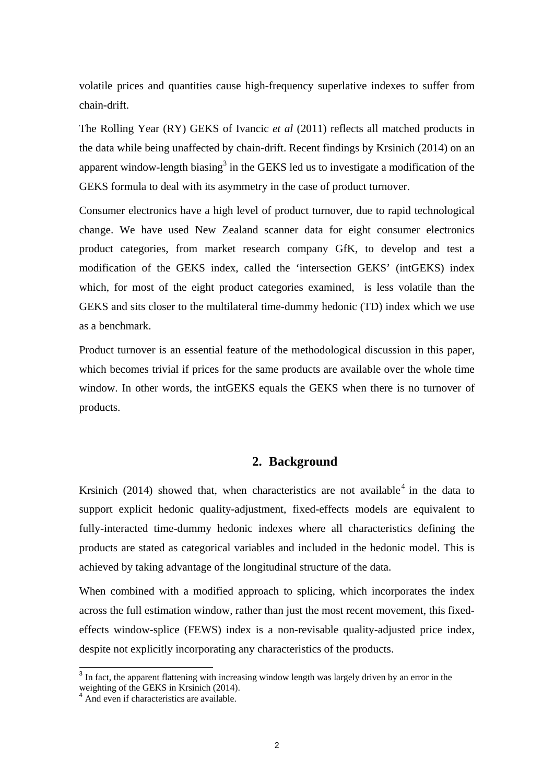volatile prices and quantities cause high-frequency superlative indexes to suffer from chain-drift.

The Rolling Year (RY) GEKS of Ivancic *et al* (2011) reflects all matched products in the data while being unaffected by chain-drift. Recent findings by Krsinich (2014) on an apparent window-length biasing<sup>3</sup> in the GEKS led us to investigate a modification of the GEKS formula to deal with its asymmetry in the case of product turnover.

Consumer electronics have a high level of product turnover, due to rapid technological change. We have used New Zealand scanner data for eight consumer electronics product categories, from market research company GfK, to develop and test a modification of the GEKS index, called the 'intersection GEKS' (intGEKS) index which, for most of the eight product categories examined, is less volatile than the GEKS and sits closer to the multilateral time-dummy hedonic (TD) index which we use as a benchmark.

Product turnover is an essential feature of the methodological discussion in this paper, which becomes trivial if prices for the same products are available over the whole time window. In other words, the intGEKS equals the GEKS when there is no turnover of products.

#### **2. Background**

Krsinich (2014) showed that, when characteristics are not available  $4$  in the data to support explicit hedonic quality-adjustment, fixed-effects models are equivalent to fully-interacted time-dummy hedonic indexes where all characteristics defining the products are stated as categorical variables and included in the hedonic model. This is achieved by taking advantage of the longitudinal structure of the data.

When combined with a modified approach to splicing, which incorporates the index across the full estimation window, rather than just the most recent movement, this fixedeffects window-splice (FEWS) index is a non-revisable quality-adjusted price index, despite not explicitly incorporating any characteristics of the products.

 $\overline{a}$ 

 $3$  In fact, the apparent flattening with increasing window length was largely driven by an error in the weighting of the GEKS in Krsinich (2014).

<sup>&</sup>lt;sup>4</sup> And even if characteristics are available.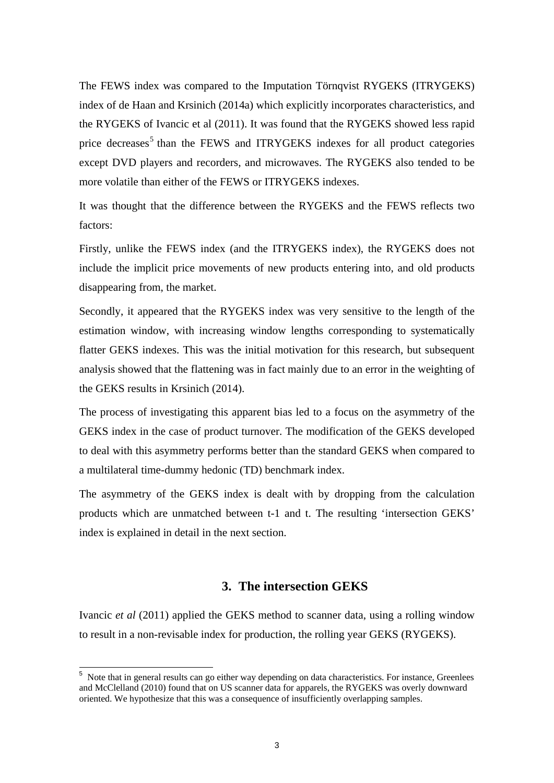The FEWS index was compared to the Imputation Törnqvist RYGEKS (ITRYGEKS) index of de Haan and Krsinich (2014a) which explicitly incorporates characteristics, and the RYGEKS of Ivancic et al (2011). It was found that the RYGEKS showed less rapid price decreases<sup>5</sup> than the FEWS and ITRYGEKS indexes for all product categories except DVD players and recorders, and microwaves. The RYGEKS also tended to be more volatile than either of the FEWS or ITRYGEKS indexes.

It was thought that the difference between the RYGEKS and the FEWS reflects two factors:

Firstly, unlike the FEWS index (and the ITRYGEKS index), the RYGEKS does not include the implicit price movements of new products entering into, and old products disappearing from, the market.

Secondly, it appeared that the RYGEKS index was very sensitive to the length of the estimation window, with increasing window lengths corresponding to systematically flatter GEKS indexes. This was the initial motivation for this research, but subsequent analysis showed that the flattening was in fact mainly due to an error in the weighting of the GEKS results in Krsinich (2014).

The process of investigating this apparent bias led to a focus on the asymmetry of the GEKS index in the case of product turnover. The modification of the GEKS developed to deal with this asymmetry performs better than the standard GEKS when compared to a multilateral time-dummy hedonic (TD) benchmark index.

The asymmetry of the GEKS index is dealt with by dropping from the calculation products which are unmatched between t-1 and t. The resulting 'intersection GEKS' index is explained in detail in the next section.

## **3. The intersection GEKS**

Ivancic *et al* (2011) applied the GEKS method to scanner data, using a rolling window to result in a non-revisable index for production, the rolling year GEKS (RYGEKS).

1

Note that in general results can go either way depending on data characteristics. For instance, Greenlees and McClelland (2010) found that on US scanner data for apparels, the RYGEKS was overly downward oriented. We hypothesize that this was a consequence of insufficiently overlapping samples.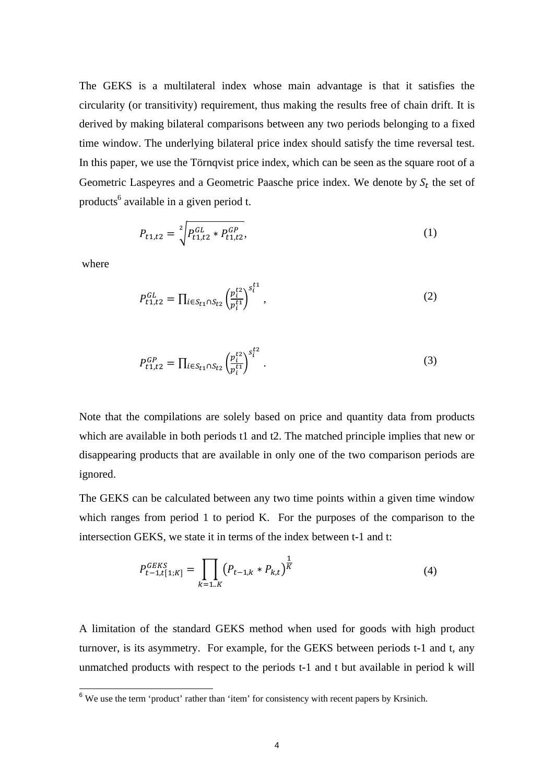The GEKS is a multilateral index whose main advantage is that it satisfies the circularity (or transitivity) requirement, thus making the results free of chain drift. It is derived by making bilateral comparisons between any two periods belonging to a fixed time window. The underlying bilateral price index should satisfy the time reversal test. In this paper, we use the Törnqvist price index, which can be seen as the square root of a Geometric Laspeyres and a Geometric Paasche price index. We denote by  $S_t$  the set of products<sup>6</sup> available in a given period t.

$$
P_{t1,t2} = \sqrt[2]{P_{t1,t2}^{GL} * P_{t1,t2}^{GP}},
$$
\n(1)

where

 $\overline{a}$ 

$$
P_{t1,t2}^{GL} = \prod_{i \in S_{t1} \cap S_{t2}} \left(\frac{p_i^{t2}}{p_i^{t1}}\right)^{s_i^{t1}},\tag{2}
$$

$$
P_{t1,t2}^{GP} = \prod_{i \in S_{t1} \cap S_{t2}} \left(\frac{p_i^{t2}}{p_i^{t1}}\right)^{s_i^{t2}}.
$$
\n(3)

Note that the compilations are solely based on price and quantity data from products which are available in both periods t1 and t2. The matched principle implies that new or disappearing products that are available in only one of the two comparison periods are ignored.

The GEKS can be calculated between any two time points within a given time window which ranges from period 1 to period K. For the purposes of the comparison to the intersection GEKS, we state it in terms of the index between t-1 and t:

$$
P_{t-1,t[1;K]}^{G E K S} = \prod_{k=1..K} \left( P_{t-1,k} * P_{k,t} \right)^{\frac{1}{K}}
$$
(4)

A limitation of the standard GEKS method when used for goods with high product turnover, is its asymmetry. For example, for the GEKS between periods t-1 and t, any unmatched products with respect to the periods t-1 and t but available in period k will

 $6$  We use the term 'product' rather than 'item' for consistency with recent papers by Krsinich.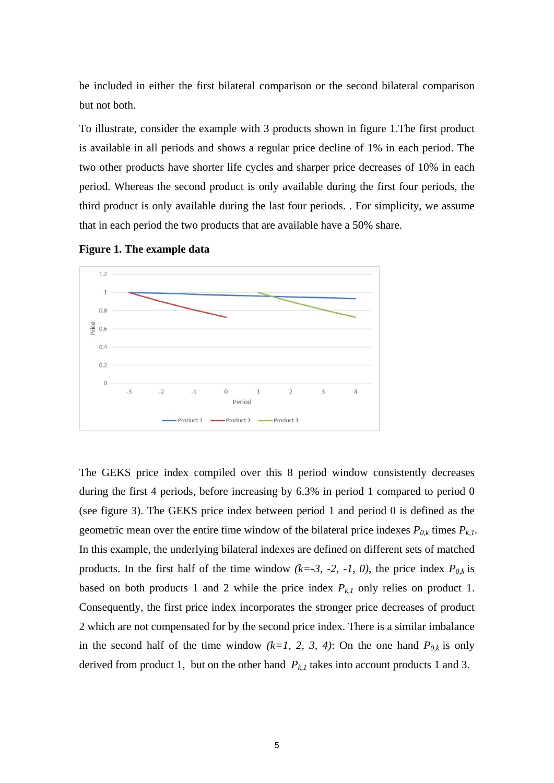be included in either the first bilateral comparison or the second bilateral comparison but not both.

To illustrate, consider the example with 3 products shown in figure 1.The first product is available in all periods and shows a regular price decline of 1% in each period. The two other products have shorter life cycles and sharper price decreases of 10% in each period. Whereas the second product is only available during the first four periods, the third product is only available during the last four periods. . For simplicity, we assume that in each period the two products that are available have a 50% share.



**Figure 1. The example data** 

The GEKS price index compiled over this 8 period window consistently decreases during the first 4 periods, before increasing by 6.3% in period 1 compared to period 0 (see figure 3). The GEKS price index between period 1 and period 0 is defined as the geometric mean over the entire time window of the bilateral price indexes  $P_{0,k}$  times  $P_{k,l}$ . In this example, the underlying bilateral indexes are defined on different sets of matched products. In the first half of the time window  $(k=3, -2, -1, 0)$ , the price index  $P_{0,k}$  is based on both products 1 and 2 while the price index  $P_{k,l}$  only relies on product 1. Consequently, the first price index incorporates the stronger price decreases of product 2 which are not compensated for by the second price index. There is a similar imbalance in the second half of the time window  $(k=1, 2, 3, 4)$ : On the one hand  $P_{0,k}$  is only derived from product 1, but on the other hand  $P_{k,l}$  takes into account products 1 and 3.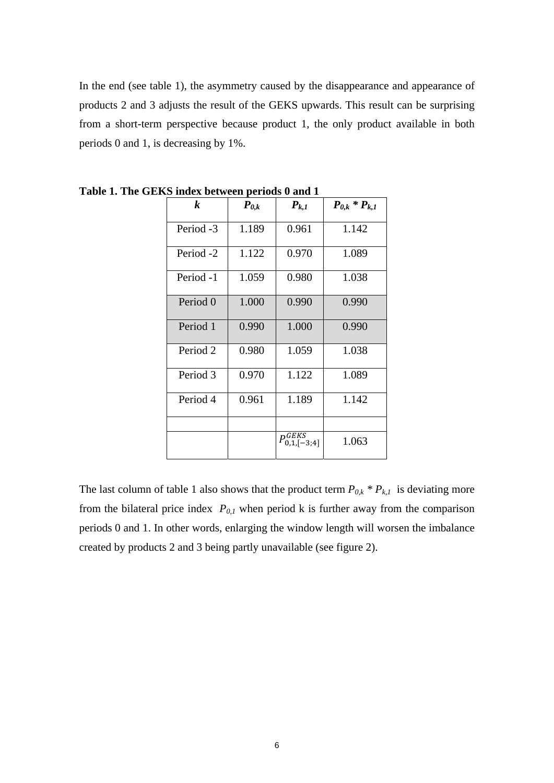In the end (see table 1), the asymmetry caused by the disappearance and appearance of products 2 and 3 adjusts the result of the GEKS upwards. This result can be surprising from a short-term perspective because product 1, the only product available in both periods 0 and 1, is decreasing by 1%.

| $\boldsymbol{k}$     | $\boldsymbol{P}_{\boldsymbol{\theta},\boldsymbol{k}}$ | $P_{k,1}$                                  | $P_{0,k} * P_{k,1}$ |  |
|----------------------|-------------------------------------------------------|--------------------------------------------|---------------------|--|
| Period -3            | 1.189                                                 | 0.961                                      | 1.142               |  |
| Period <sub>-2</sub> | 1.122                                                 | 0.970                                      | 1.089               |  |
| Period -1            | 1.059                                                 | 0.980                                      | 1.038               |  |
| Period 0             | 1.000                                                 | 0.990                                      | 0.990               |  |
| Period 1             | 0.990                                                 | 1.000                                      | 0.990               |  |
| Period 2             | 0.980                                                 | 1.059                                      | 1.038               |  |
| Period 3             | 0.970                                                 | 1.122                                      | 1.089               |  |
| Period 4             | 0.961                                                 | 1.189                                      | 1.142               |  |
|                      |                                                       |                                            |                     |  |
|                      |                                                       | $P^{GEKS}_{0,1,\llbracket -3;4\rrbracket}$ | 1.063               |  |

**Table 1. The GEKS index between periods 0 and 1**

The last column of table 1 also shows that the product term  $P_{0,k} * P_{k,l}$  is deviating more from the bilateral price index  $P_{0,1}$  when period k is further away from the comparison periods 0 and 1. In other words, enlarging the window length will worsen the imbalance created by products 2 and 3 being partly unavailable (see figure 2).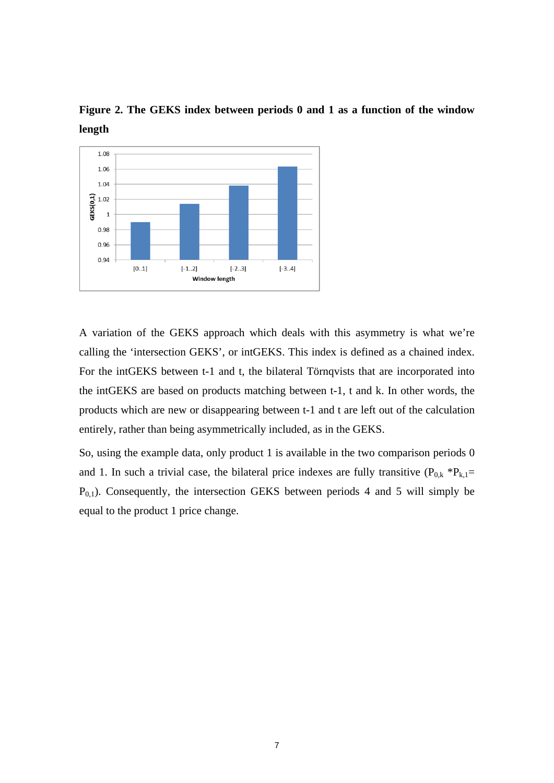

**Figure 2. The GEKS index between periods 0 and 1 as a function of the window length** 

A variation of the GEKS approach which deals with this asymmetry is what we're calling the 'intersection GEKS', or intGEKS. This index is defined as a chained index. For the intGEKS between t-1 and t, the bilateral Törnqvists that are incorporated into the intGEKS are based on products matching between t-1, t and k. In other words, the products which are new or disappearing between t-1 and t are left out of the calculation entirely, rather than being asymmetrically included, as in the GEKS.

So, using the example data, only product 1 is available in the two comparison periods 0 and 1. In such a trivial case, the bilateral price indexes are fully transitive  $(P_{0,k} * P_{k,1} =$  $P_{0,1}$ ). Consequently, the intersection GEKS between periods 4 and 5 will simply be equal to the product 1 price change.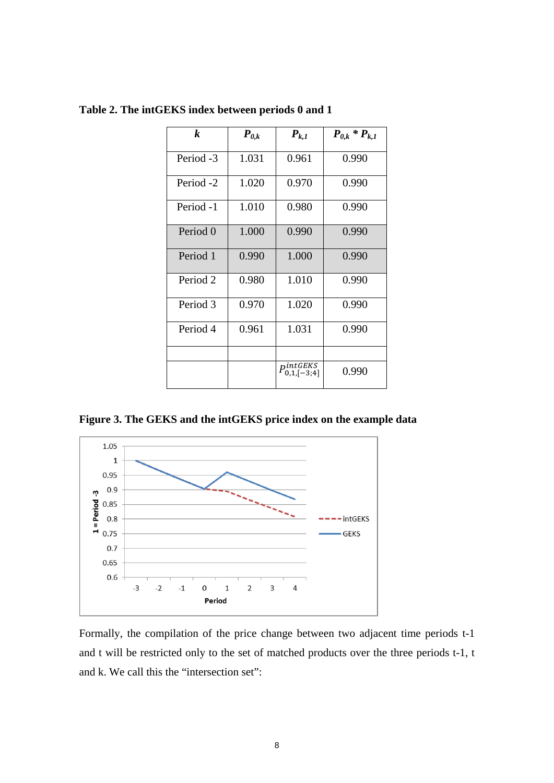| k                    | $\boldsymbol{P}_{\boldsymbol{0},\boldsymbol{k}}$ | $P_{k,1}$                  | $P_{0,k} * P_{k,1}$ |  |
|----------------------|--------------------------------------------------|----------------------------|---------------------|--|
|                      |                                                  |                            |                     |  |
| Period -3            | 1.031                                            | 0.961                      | 0.990               |  |
| Period <sub>-2</sub> | 1.020                                            | 0.970                      | 0.990               |  |
| Period -1            | 1.010                                            | 0.980                      | 0.990               |  |
| Period 0             | 1.000                                            | 0.990                      | 0.990               |  |
| Period 1             | 0.990                                            | 1.000                      | 0.990               |  |
| Period <sub>2</sub>  | 0.980                                            | 1.010                      | 0.990               |  |
| Period 3             | 0.970                                            | 1.020                      | 0.990               |  |
| Period 4             | 0.961                                            | 1.031                      | 0.990               |  |
|                      |                                                  |                            |                     |  |
|                      |                                                  | $P_{0,1,[-3;4]}^{intGEKS}$ | 0.990               |  |

**Table 2. The intGEKS index between periods 0 and 1** 

**Figure 3. The GEKS and the intGEKS price index on the example data** 



Formally, the compilation of the price change between two adjacent time periods t-1 and t will be restricted only to the set of matched products over the three periods t-1, t and k. We call this the "intersection set":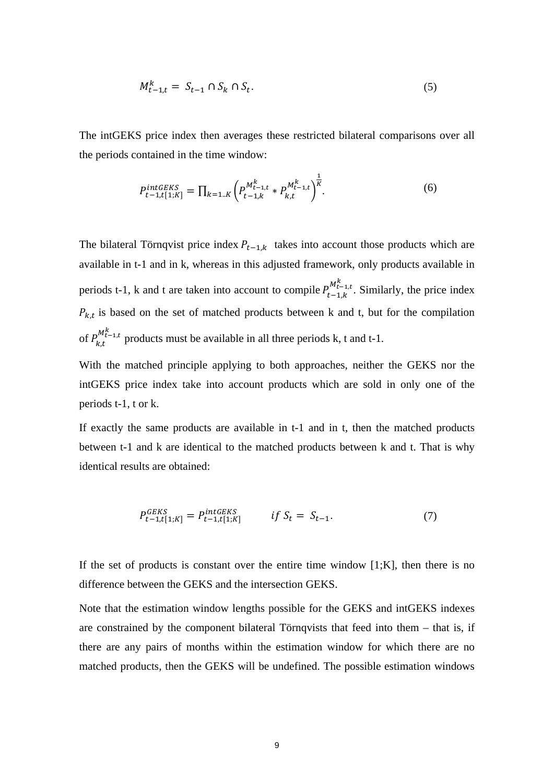$$
M_{t-1,t}^k = S_{t-1} \cap S_k \cap S_t. \tag{5}
$$

The intGEKS price index then averages these restricted bilateral comparisons over all the periods contained in the time window:

$$
P_{t-1,t[1,K]}^{intGEKS} = \prod_{k=1..K} \left( P_{t-1,k}^{M_{t-1,t}^k} * P_{k,t}^{M_{t-1,t}^k} \right)^{\frac{1}{K}}.
$$
 (6)

The bilateral Törnqvist price index  $P_{t-1,k}$  takes into account those products which are available in t-1 and in k, whereas in this adjusted framework, only products available in periods t-1, k and t are taken into account to compile  $P_{t-1,k}^{M_{t-1,t}^k}$ . Similarly, the price index  $P_{k,t}$  is based on the set of matched products between k and t, but for the compilation of  $P_{k,t}^{M_{t-1,t}^k}$  products must be available in all three periods k, t and t-1.

With the matched principle applying to both approaches, neither the GEKS nor the intGEKS price index take into account products which are sold in only one of the periods t-1, t or k.

If exactly the same products are available in t-1 and in t, then the matched products between t-1 and k are identical to the matched products between k and t. That is why identical results are obtained:

$$
P_{t-1,t[1;K]}^{GEKS} = P_{t-1,t[1;K]}^{intGEKS} \qquad \text{if } S_t = S_{t-1}. \tag{7}
$$

If the set of products is constant over the entire time window  $[1;K]$ , then there is no difference between the GEKS and the intersection GEKS.

Note that the estimation window lengths possible for the GEKS and intGEKS indexes are constrained by the component bilateral Törnqvists that feed into them – that is, if there are any pairs of months within the estimation window for which there are no matched products, then the GEKS will be undefined. The possible estimation windows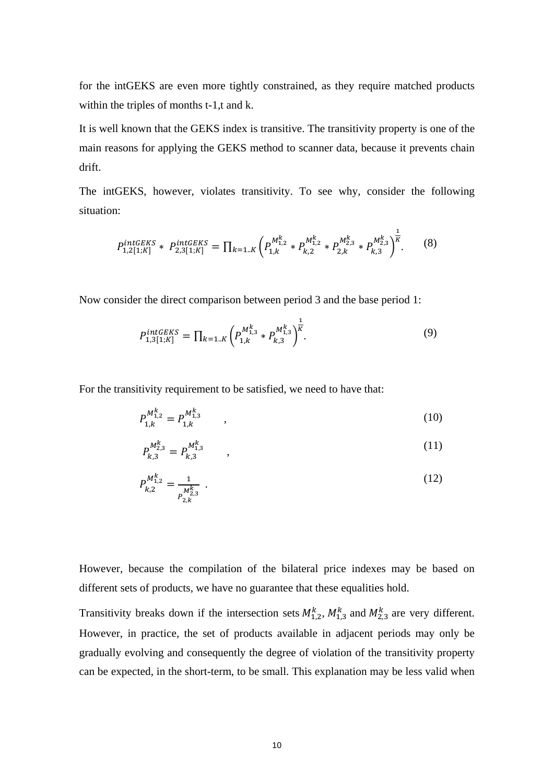for the intGEKS are even more tightly constrained, as they require matched products within the triples of months t-1,t and k.

It is well known that the GEKS index is transitive. The transitivity property is one of the main reasons for applying the GEKS method to scanner data, because it prevents chain drift.

The intGEKS, however, violates transitivity. To see why, consider the following situation:

$$
P_{1,2[1;K]}^{intGEKS} * P_{2,3[1;K]}^{intGEKS} = \prod_{k=1..K} \left( P_{1,k}^{M_{1,2}^k} * P_{k,2}^{M_{1,2}^k} * P_{2,k}^{M_{2,3}^k} * P_{k,3}^{M_{2,3}^k} \right)^{\frac{1}{K}}.
$$
 (8)

Now consider the direct comparison between period 3 and the base period 1:

$$
P_{1,3[1;K]}^{intGEKS} = \prod_{k=1..K} \left( P_{1,k}^{M_{1,3}^k} * P_{k,3}^{M_{1,3}^k} \right)^{\frac{1}{K}}.
$$
\n(9)

For the transitivity requirement to be satisfied, we need to have that:

$$
P_{1,k}^{M_{1,2}^k} = P_{1,k}^{M_{1,3}^k} \t\t(10)
$$

$$
P_{k,3}^{M_{2,3}^k} = P_{k,3}^{M_{1,3}^k} \tag{11}
$$

$$
P_{k,2}^{M_{1,2}^k} = \frac{1}{P_{2,k}^{M_{2,3}^k}} \tag{12}
$$

However, because the compilation of the bilateral price indexes may be based on different sets of products, we have no guarantee that these equalities hold.

Transitivity breaks down if the intersection sets  $M_{1,2}^k$ ,  $M_{1,3}^k$  and  $M_{2,3}^k$  are very different. However, in practice, the set of products available in adjacent periods may only be gradually evolving and consequently the degree of violation of the transitivity property can be expected, in the short-term, to be small. This explanation may be less valid when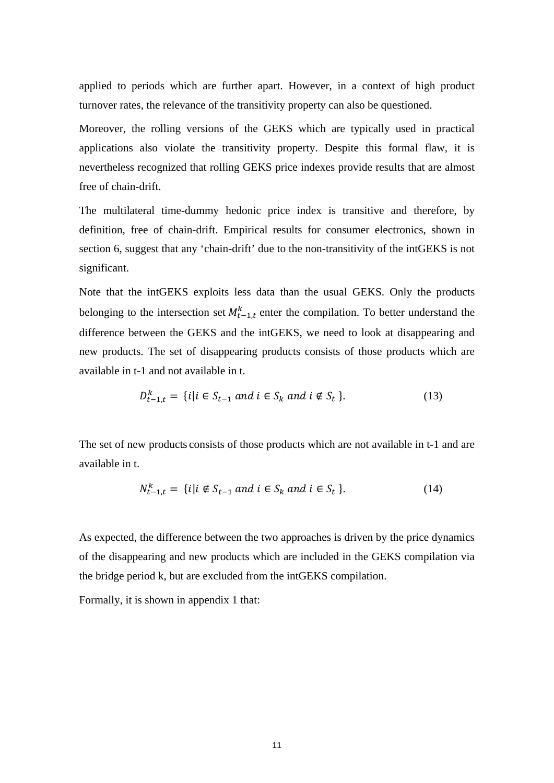applied to periods which are further apart. However, in a context of high product turnover rates, the relevance of the transitivity property can also be questioned.

Moreover, the rolling versions of the GEKS which are typically used in practical applications also violate the transitivity property. Despite this formal flaw, it is nevertheless recognized that rolling GEKS price indexes provide results that are almost free of chain-drift.

The multilateral time-dummy hedonic price index is transitive and therefore, by definition, free of chain-drift. Empirical results for consumer electronics, shown in section 6, suggest that any 'chain-drift' due to the non-transitivity of the intGEKS is not significant.

Note that the intGEKS exploits less data than the usual GEKS. Only the products belonging to the intersection set  $M_{t-1,t}^k$  enter the compilation. To better understand the difference between the GEKS and the intGEKS, we need to look at disappearing and new products. The set of disappearing products consists of those products which are available in t-1 and not available in t.

$$
D_{t-1,t}^k = \{i | i \in S_{t-1} \text{ and } i \in S_k \text{ and } i \notin S_t \}. \tag{13}
$$

The set of new products consists of those products which are not available in t-1 and are available in t.

$$
N_{t-1,t}^k = \{i | i \notin S_{t-1} \text{ and } i \in S_k \text{ and } i \in S_t \}. \tag{14}
$$

As expected, the difference between the two approaches is driven by the price dynamics of the disappearing and new products which are included in the GEKS compilation via the bridge period k, but are excluded from the intGEKS compilation.

Formally, it is shown in appendix 1 that: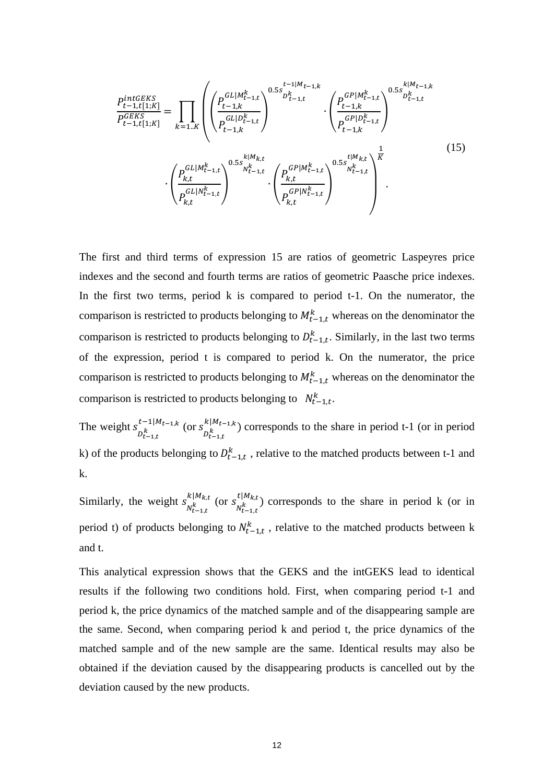$$
\frac{P_{t-1,t[1;K]}^{intGEKS}}{P_{t-1,t[1;K]}^{GEKS}} = \prod_{k=1..K} \left( \left( \frac{P_{t-1,k}^{GL|M_{t-1,t}^k}}{P_{t-1,k}^{GL|D_{t-1,t}^k}} \right)^{0.5s} \sum_{l=1,t}^{D_{t-1,t}^k} \cdot \left( \frac{P_{t-1,k}^{GP|M_{t-1,t}^k}}{P_{t-1,k}^{GP|D_{t-1,t}^k}} \right)^{0.5s} \sum_{l=1,t}^{k|M_{t-1,t}^k} \cdot \left( \frac{P_{t-1,k}^{GP|D_{t-1,t}^k}}{P_{t-1,k}^{GP|D_{t-1,t}^k}} \right)^{0.5s} \cdot \left( \frac{P_{k,t}^{GL|M_{t-1,t}^k}}{P_{k,t}^{GL|N_{t-1,t}^k}} \right)^{0.5s} \cdot \left( \frac{P_{k,t}^{GL|M_{t-1,t}^k}}{P_{k,t}^{GP|N_{t-1,t}^k}} \right)^{0.5s} \sum_{l=1,t}^{t|M_{k,t}^k} \left( \frac{P_{k,t}^{GP|M_{t-1,t}^k}}{P_{k,t}^{GP|N_{t-1,t}^k}} \right)^{0.5s} \right)
$$
\n
$$
(15)
$$

The first and third terms of expression 15 are ratios of geometric Laspeyres price indexes and the second and fourth terms are ratios of geometric Paasche price indexes. In the first two terms, period k is compared to period t-1. On the numerator, the comparison is restricted to products belonging to  $M_{t-1,t}^k$  whereas on the denominator the comparison is restricted to products belonging to  $D_{t-1,t}^k$ . Similarly, in the last two terms of the expression, period t is compared to period k. On the numerator, the price comparison is restricted to products belonging to  $M_{t-1,t}^k$  whereas on the denominator the comparison is restricted to products belonging to  $N_{t-1,t}^k$ .

The weight  $s_{D_{t-1,t}}^{t-1|M_{t-1,k}}$  (or  $s_{D_{t-1,t}}^{k|M_{t-1,k}}$ ) corresponds to the share in period t-1 (or in period k) of the products belonging to  $D_{t-1,t}^k$ , relative to the matched products between t-1 and k.

Similarly, the weight  $s_{N_{t-1,t}^k}^{k|M_{k,t}}$  (or  $s_{N_{t-1,t}^k}^{t|M_{k,t}}$ ) corresponds to the share in period k (or in period t) of products belonging to  $N_{t-1,t}^k$ , relative to the matched products between k and t.

This analytical expression shows that the GEKS and the intGEKS lead to identical results if the following two conditions hold. First, when comparing period t-1 and period k, the price dynamics of the matched sample and of the disappearing sample are the same. Second, when comparing period k and period t, the price dynamics of the matched sample and of the new sample are the same. Identical results may also be obtained if the deviation caused by the disappearing products is cancelled out by the deviation caused by the new products.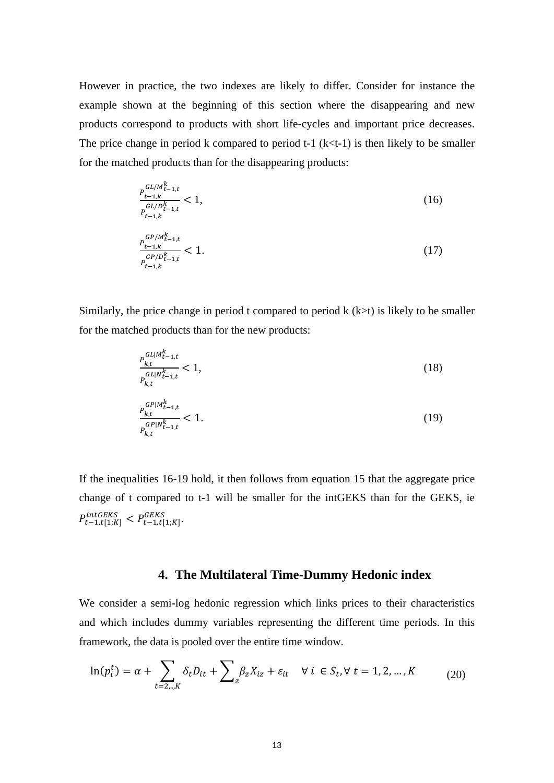However in practice, the two indexes are likely to differ. Consider for instance the example shown at the beginning of this section where the disappearing and new products correspond to products with short life-cycles and important price decreases. The price change in period k compared to period  $t-1$  ( $k < t-1$ ) is then likely to be smaller for the matched products than for the disappearing products:

$$
\frac{P_{t-1,k}^{GL/M_{t-1,t}^k}}{P_{t-1,k}^{GL/D_{t-1,t}^k}} < 1,\tag{16}
$$
\n
$$
\frac{P_{t-1,k}^{GP/M_{t-1,t}^k}}{P_{t-1,k}^{GP/D_{t-1,t}^k}} < 1.\tag{17}
$$

Similarly, the price change in period t compared to period  $k$  ( $k$  $>$ t) is likely to be smaller for the matched products than for the new products:

$$
\frac{P_{k,t}^{GL|M_{t-1,t}^k}}{P_{k,t}^{GL|N_{t-1,t}^k}} < 1,\tag{18}
$$

$$
\frac{P_{k,t}^{GP|M_{t-1,t}^k}}{P_{k,t}^{GP|M_{t-1,t}^k}} < 1. \tag{19}
$$

If the inequalities 16-19 hold, it then follows from equation 15 that the aggregate price change of t compared to t-1 will be smaller for the intGEKS than for the GEKS, ie  $P_{t-1,t[1;K]}^{intGENS} < P_{t-1,t[1;K]}^{GENS}$ 

## **4. The Multilateral Time-Dummy Hedonic index**

We consider a semi-log hedonic regression which links prices to their characteristics and which includes dummy variables representing the different time periods. In this framework, the data is pooled over the entire time window.

$$
\ln(p_i^t) = \alpha + \sum_{t=2\ldots,K} \delta_t D_{it} + \sum_{z} \beta_z X_{iz} + \varepsilon_{it} \quad \forall \ i \in S_t, \forall \ t = 1, 2, \ldots, K \tag{20}
$$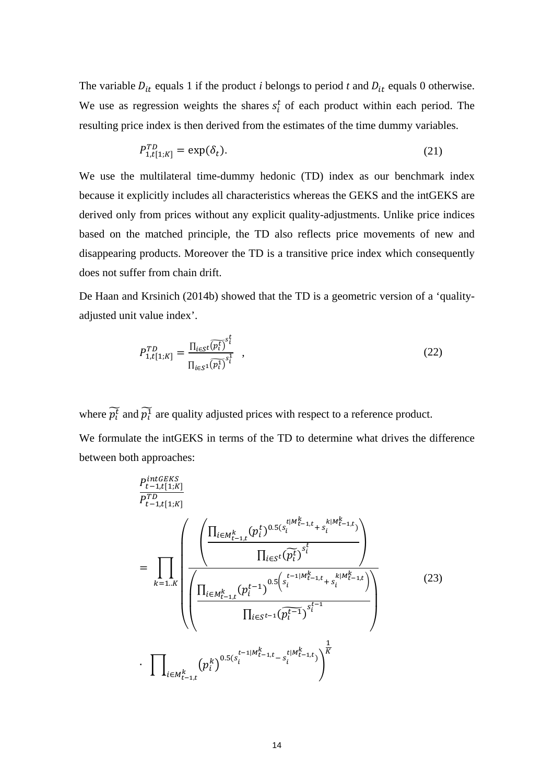The variable  $D_{it}$  equals 1 if the product *i* belongs to period *t* and  $D_{it}$  equals 0 otherwise. We use as regression weights the shares  $s_i^t$  of each product within each period. The resulting price index is then derived from the estimates of the time dummy variables.

$$
P_{1,t[1;K]}^{TD} = \exp(\delta_t). \tag{21}
$$

We use the multilateral time-dummy hedonic (TD) index as our benchmark index because it explicitly includes all characteristics whereas the GEKS and the intGEKS are derived only from prices without any explicit quality-adjustments. Unlike price indices based on the matched principle, the TD also reflects price movements of new and disappearing products. Moreover the TD is a transitive price index which consequently does not suffer from chain drift.

De Haan and Krsinich (2014b) showed that the TD is a geometric version of a 'qualityadjusted unit value index'.

$$
P_{1,t[1;K]}^{TD} = \frac{\prod_{i \in S} \widehat{v_i b_i}^{st}}{\prod_{i \in S^1} \widehat{v_i b_i}^{st}} , \qquad (22)
$$

where  $\widetilde{p_t^t}$  and  $\widetilde{p_t^1}$  are quality adjusted prices with respect to a reference product. We formulate the intGEKS in terms of the TD to determine what drives the difference between both approaches:

$$
\frac{P_{t-1,t[1;K]}^{intGEKS}}{P_{t-1,t[1;K]}^{TD}}\n= \prod_{k=1..K} \left( \frac{\left( \frac{\prod_{i\in M_{t-1,t}^{k}} (p_i^t)^{0.5(s_i^{t|M_{t-1,t}^{k} + s_i^{k|M_{t-1,t}^{k}}})}}{\prod_{i\in S} (p_i^t)^{s_i^t}} \right)}{\left( \frac{\prod_{i\in M_{t-1,t}^{k}} (p_i^{t-1})^{0.5(s_i^{t-1|M_{t-1,t}^{k} + s_i^{k|M_{t-1,t}^{k}})}}{\prod_{i\in S} t^{-(1)} (p_i^{t-1})^{s_i^{t-1}}}} \right) \right) \tag{23}
$$
\n
$$
\cdot \prod_{i\in M_{t-1,t}^{k}} (p_i^k)^{0.5(s_i^{t-1|M_{t-1,t}^{k} - s_i^{t|M_{t-1,t}^{k}}})} \right)^{\frac{1}{K}}
$$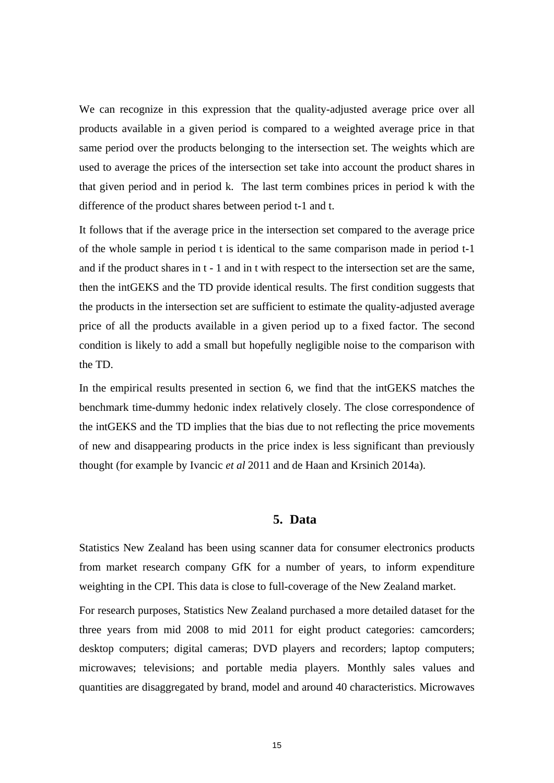We can recognize in this expression that the quality-adjusted average price over all products available in a given period is compared to a weighted average price in that same period over the products belonging to the intersection set. The weights which are used to average the prices of the intersection set take into account the product shares in that given period and in period k. The last term combines prices in period k with the difference of the product shares between period t-1 and t.

It follows that if the average price in the intersection set compared to the average price of the whole sample in period t is identical to the same comparison made in period t-1 and if the product shares in t - 1 and in t with respect to the intersection set are the same, then the intGEKS and the TD provide identical results. The first condition suggests that the products in the intersection set are sufficient to estimate the quality-adjusted average price of all the products available in a given period up to a fixed factor. The second condition is likely to add a small but hopefully negligible noise to the comparison with the TD.

In the empirical results presented in section 6, we find that the intGEKS matches the benchmark time-dummy hedonic index relatively closely. The close correspondence of the intGEKS and the TD implies that the bias due to not reflecting the price movements of new and disappearing products in the price index is less significant than previously thought (for example by Ivancic *et al* 2011 and de Haan and Krsinich 2014a).

## **5. Data**

Statistics New Zealand has been using scanner data for consumer electronics products from market research company GfK for a number of years, to inform expenditure weighting in the CPI. This data is close to full-coverage of the New Zealand market.

For research purposes, Statistics New Zealand purchased a more detailed dataset for the three years from mid 2008 to mid 2011 for eight product categories: camcorders; desktop computers; digital cameras; DVD players and recorders; laptop computers; microwaves; televisions; and portable media players. Monthly sales values and quantities are disaggregated by brand, model and around 40 characteristics. Microwaves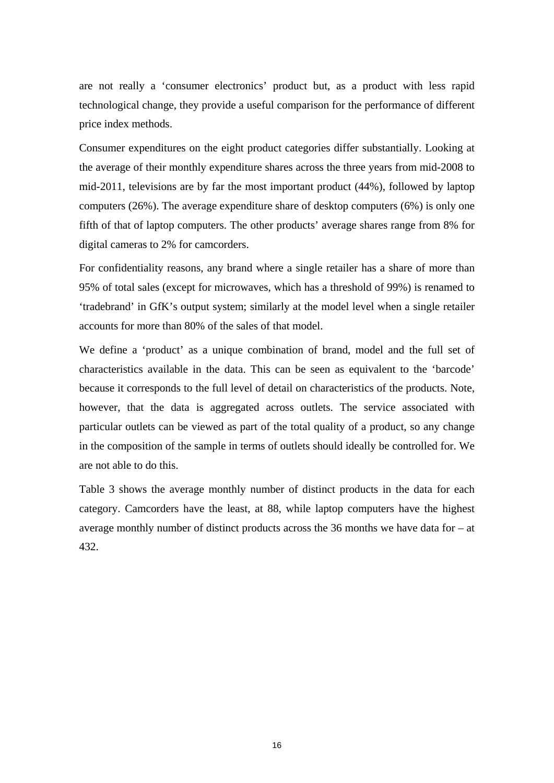are not really a 'consumer electronics' product but, as a product with less rapid technological change, they provide a useful comparison for the performance of different price index methods.

Consumer expenditures on the eight product categories differ substantially. Looking at the average of their monthly expenditure shares across the three years from mid-2008 to mid-2011, televisions are by far the most important product (44%), followed by laptop computers (26%). The average expenditure share of desktop computers (6%) is only one fifth of that of laptop computers. The other products' average shares range from 8% for digital cameras to 2% for camcorders.

For confidentiality reasons, any brand where a single retailer has a share of more than 95% of total sales (except for microwaves, which has a threshold of 99%) is renamed to 'tradebrand' in GfK's output system; similarly at the model level when a single retailer accounts for more than 80% of the sales of that model.

We define a 'product' as a unique combination of brand, model and the full set of characteristics available in the data. This can be seen as equivalent to the 'barcode' because it corresponds to the full level of detail on characteristics of the products. Note, however, that the data is aggregated across outlets. The service associated with particular outlets can be viewed as part of the total quality of a product, so any change in the composition of the sample in terms of outlets should ideally be controlled for. We are not able to do this.

Table 3 shows the average monthly number of distinct products in the data for each category. Camcorders have the least, at 88, while laptop computers have the highest average monthly number of distinct products across the 36 months we have data for – at 432.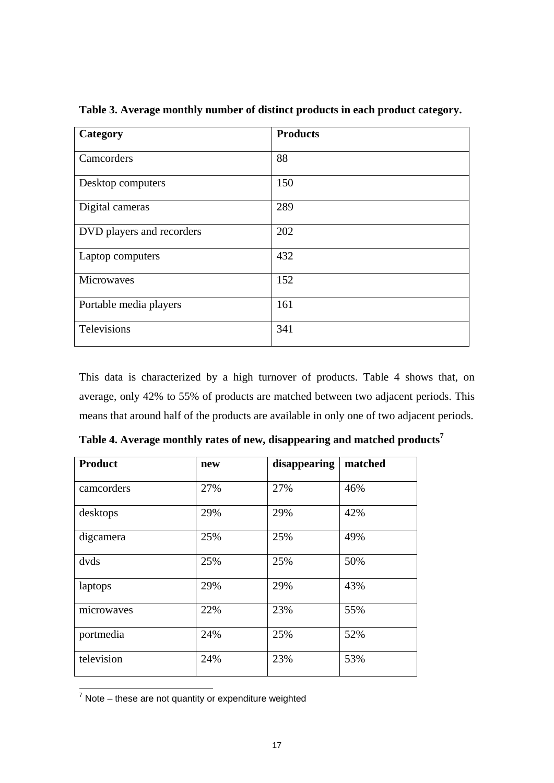| Category                  | <b>Products</b> |
|---------------------------|-----------------|
| Camcorders                | 88              |
| Desktop computers         | 150             |
| Digital cameras           | 289             |
| DVD players and recorders | 202             |
| Laptop computers          | 432             |
| Microwaves                | 152             |
| Portable media players    | 161             |
| Televisions               | 341             |

**Table 3. Average monthly number of distinct products in each product category.** 

This data is characterized by a high turnover of products. Table 4 shows that, on average, only 42% to 55% of products are matched between two adjacent periods. This means that around half of the products are available in only one of two adjacent periods.

| <b>Product</b> | new | disappearing | matched |
|----------------|-----|--------------|---------|
| camcorders     | 27% | 27%          | 46%     |
| desktops       | 29% | 29%          | 42%     |
| digcamera      | 25% | 25%          | 49%     |
| dvds           | 25% | 25%          | 50%     |
| laptops        | 29% | 29%          | 43%     |
| microwaves     | 22% | 23%          | 55%     |
| portmedia      | 24% | 25%          | 52%     |
| television     | 24% | 23%          | 53%     |

**Table 4. Average monthly rates of new, disappearing and matched products<sup>7</sup>** 

————————————————————<br><sup>7</sup> Note – these are not quantity or expenditure weighted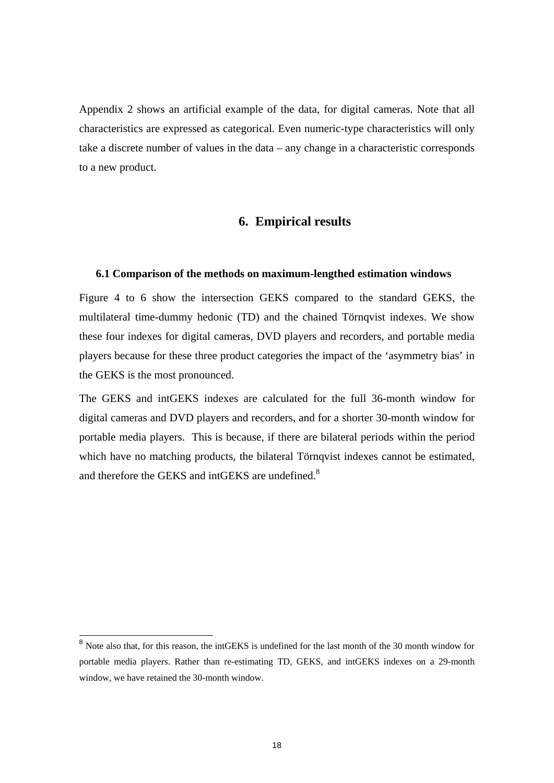Appendix 2 shows an artificial example of the data, for digital cameras. Note that all characteristics are expressed as categorical. Even numeric-type characteristics will only take a discrete number of values in the data – any change in a characteristic corresponds to a new product.

## **6. Empirical results**

#### **6.1 Comparison of the methods on maximum-lengthed estimation windows**

Figure 4 to 6 show the intersection GEKS compared to the standard GEKS, the multilateral time-dummy hedonic (TD) and the chained Törnqvist indexes. We show these four indexes for digital cameras, DVD players and recorders, and portable media players because for these three product categories the impact of the 'asymmetry bias' in the GEKS is the most pronounced.

The GEKS and intGEKS indexes are calculated for the full 36-month window for digital cameras and DVD players and recorders, and for a shorter 30-month window for portable media players. This is because, if there are bilateral periods within the period which have no matching products, the bilateral Törnqvist indexes cannot be estimated, and therefore the GEKS and intGEKS are undefined.<sup>8</sup>

-

<sup>&</sup>lt;sup>8</sup> Note also that, for this reason, the intGEKS is undefined for the last month of the 30 month window for portable media players. Rather than re-estimating TD, GEKS, and intGEKS indexes on a 29-month window, we have retained the 30-month window.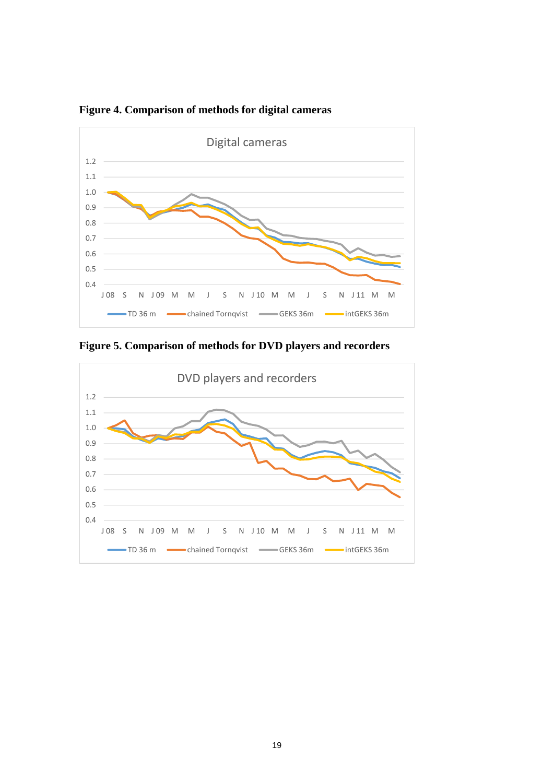

**Figure 4. Comparison of methods for digital cameras** 

**Figure 5. Comparison of methods for DVD players and recorders** 

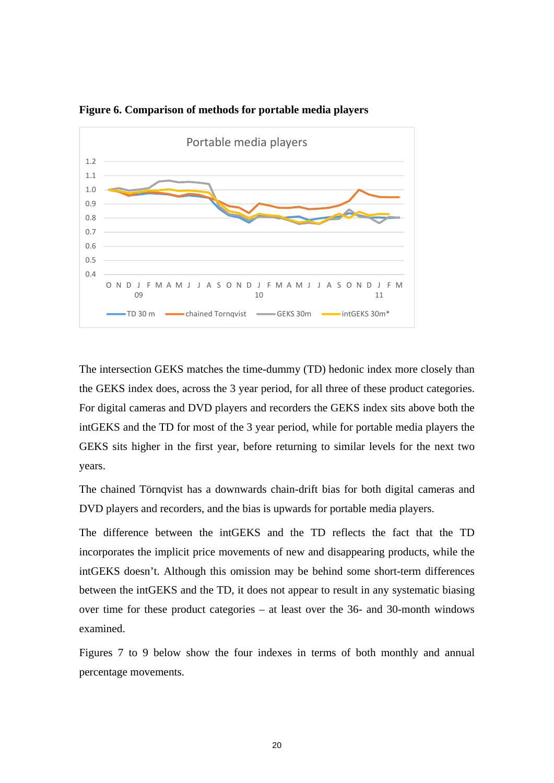

**Figure 6. Comparison of methods for portable media players** 

The intersection GEKS matches the time-dummy (TD) hedonic index more closely than the GEKS index does, across the 3 year period, for all three of these product categories. For digital cameras and DVD players and recorders the GEKS index sits above both the intGEKS and the TD for most of the 3 year period, while for portable media players the GEKS sits higher in the first year, before returning to similar levels for the next two years.

The chained Törnqvist has a downwards chain-drift bias for both digital cameras and DVD players and recorders, and the bias is upwards for portable media players.

The difference between the intGEKS and the TD reflects the fact that the TD incorporates the implicit price movements of new and disappearing products, while the intGEKS doesn't. Although this omission may be behind some short-term differences between the intGEKS and the TD, it does not appear to result in any systematic biasing over time for these product categories – at least over the 36- and 30-month windows examined.

Figures 7 to 9 below show the four indexes in terms of both monthly and annual percentage movements.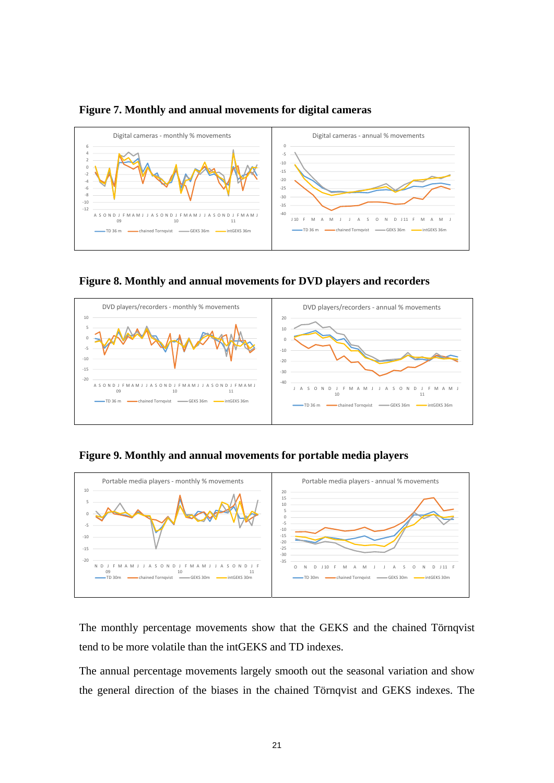

#### **Figure 7. Monthly and annual movements for digital cameras**





#### **Figure 9. Monthly and annual movements for portable media players**



The monthly percentage movements show that the GEKS and the chained Törnqvist tend to be more volatile than the intGEKS and TD indexes.

The annual percentage movements largely smooth out the seasonal variation and show the general direction of the biases in the chained Törnqvist and GEKS indexes. The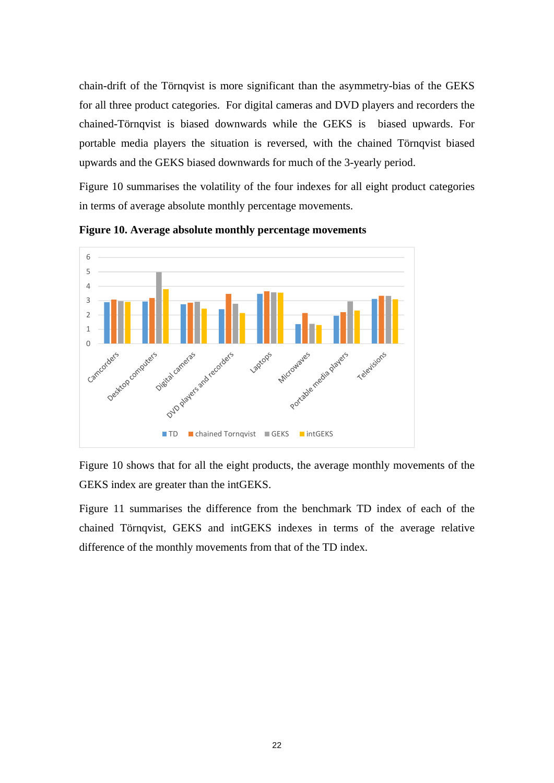chain-drift of the Törnqvist is more significant than the asymmetry-bias of the GEKS for all three product categories. For digital cameras and DVD players and recorders the chained-Törnqvist is biased downwards while the GEKS is biased upwards. For portable media players the situation is reversed, with the chained Törnqvist biased upwards and the GEKS biased downwards for much of the 3-yearly period.

Figure 10 summarises the volatility of the four indexes for all eight product categories in terms of average absolute monthly percentage movements.



**Figure 10. Average absolute monthly percentage movements** 

Figure 10 shows that for all the eight products, the average monthly movements of the GEKS index are greater than the intGEKS.

Figure 11 summarises the difference from the benchmark TD index of each of the chained Törnqvist, GEKS and intGEKS indexes in terms of the average relative difference of the monthly movements from that of the TD index.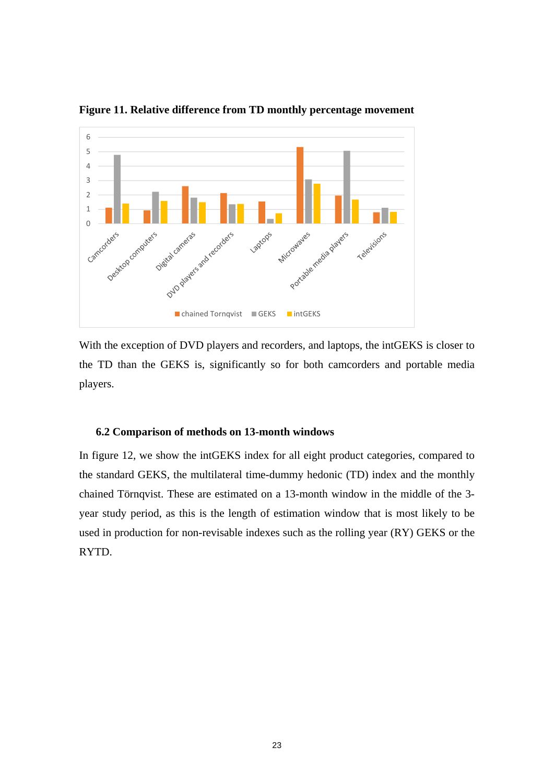

**Figure 11. Relative difference from TD monthly percentage movement** 

With the exception of DVD players and recorders, and laptops, the intGEKS is closer to the TD than the GEKS is, significantly so for both camcorders and portable media players.

#### **6.2 Comparison of methods on 13-month windows**

In figure 12, we show the intGEKS index for all eight product categories, compared to the standard GEKS, the multilateral time-dummy hedonic (TD) index and the monthly chained Törnqvist. These are estimated on a 13-month window in the middle of the 3 year study period, as this is the length of estimation window that is most likely to be used in production for non-revisable indexes such as the rolling year (RY) GEKS or the RYTD.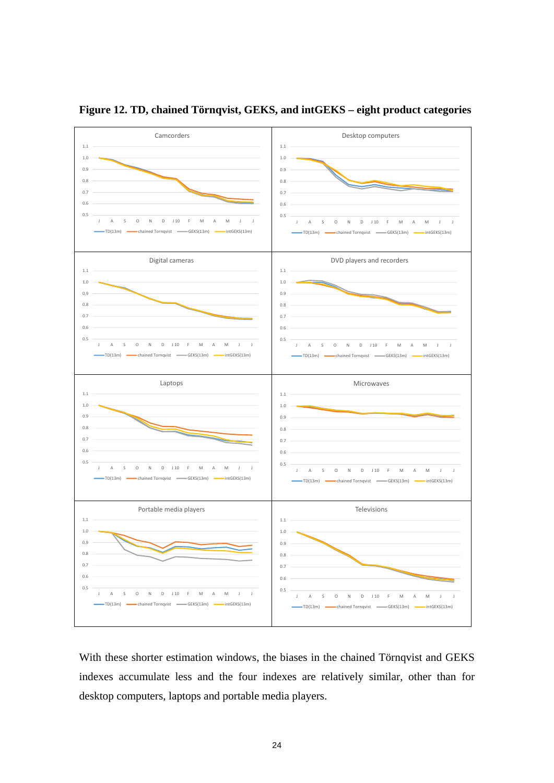

**Figure 12. TD, chained Törnqvist, GEKS, and intGEKS – eight product categories** 

With these shorter estimation windows, the biases in the chained Törnqvist and GEKS indexes accumulate less and the four indexes are relatively similar, other than for desktop computers, laptops and portable media players.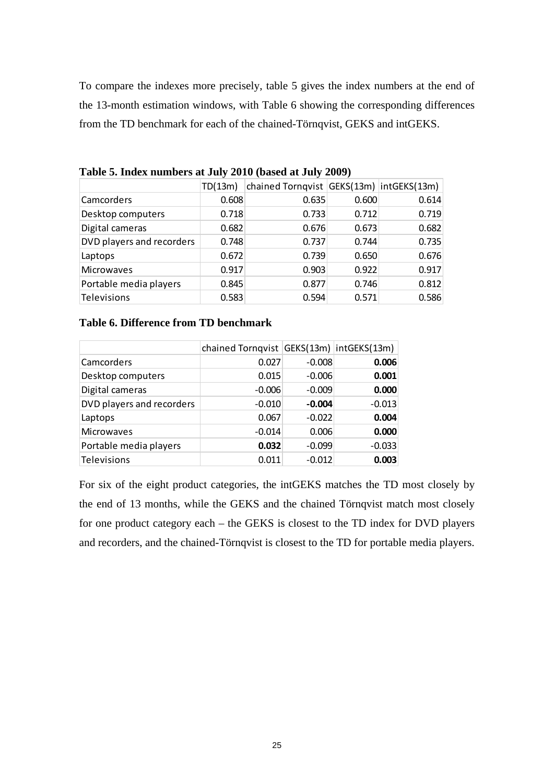To compare the indexes more precisely, table 5 gives the index numbers at the end of the 13-month estimation windows, with Table 6 showing the corresponding differences from the TD benchmark for each of the chained-Törnqvist, GEKS and intGEKS.

|                           | TD(13m) | chained Tornqvist GEKS(13m) intGEKS(13m) |       |       |
|---------------------------|---------|------------------------------------------|-------|-------|
| Camcorders                | 0.608   | 0.635                                    | 0.600 | 0.614 |
| Desktop computers         | 0.718   | 0.733                                    | 0.712 | 0.719 |
| Digital cameras           | 0.682   | 0.676                                    | 0.673 | 0.682 |
| DVD players and recorders | 0.748   | 0.737                                    | 0.744 | 0.735 |
| Laptops                   | 0.672   | 0.739                                    | 0.650 | 0.676 |
| <b>Microwaves</b>         | 0.917   | 0.903                                    | 0.922 | 0.917 |
| Portable media players    | 0.845   | 0.877                                    | 0.746 | 0.812 |
| Televisions               | 0.583   | 0.594                                    | 0.571 | 0.586 |

**Table 5. Index numbers at July 2010 (based at July 2009)**

#### **Table 6. Difference from TD benchmark**

|                           | chained Tornqvist GEKS(13m) intGEKS(13m) |          |          |
|---------------------------|------------------------------------------|----------|----------|
| Camcorders                | 0.027                                    | $-0.008$ | 0.006    |
| Desktop computers         | 0.015                                    | $-0.006$ | 0.001    |
| Digital cameras           | $-0.006$                                 | $-0.009$ | 0.000    |
| DVD players and recorders | $-0.010$                                 | $-0.004$ | $-0.013$ |
| Laptops                   | 0.067                                    | $-0.022$ | 0.004    |
| <b>Microwaves</b>         | $-0.014$                                 | 0.006    | 0.000    |
| Portable media players    | 0.032                                    | $-0.099$ | $-0.033$ |
| Televisions               | 0.011                                    | $-0.012$ | 0.003    |

For six of the eight product categories, the intGEKS matches the TD most closely by the end of 13 months, while the GEKS and the chained Törnqvist match most closely for one product category each – the GEKS is closest to the TD index for DVD players and recorders, and the chained-Törnqvist is closest to the TD for portable media players.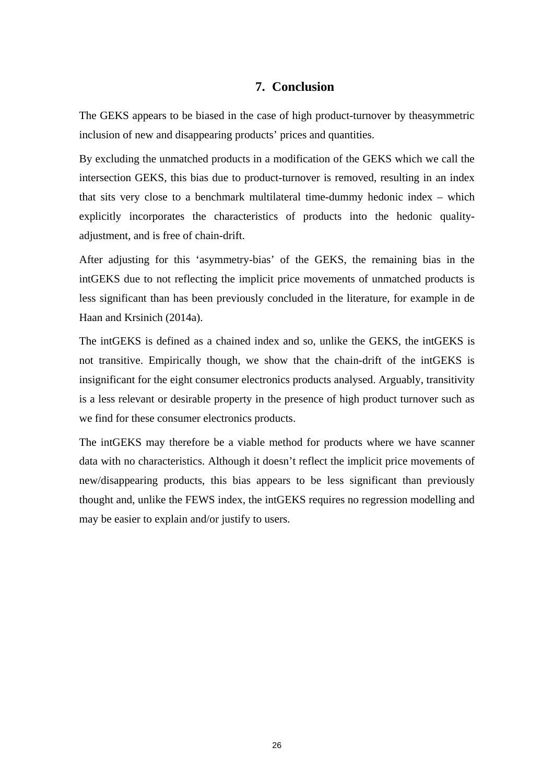## **7. Conclusion**

The GEKS appears to be biased in the case of high product-turnover by theasymmetric inclusion of new and disappearing products' prices and quantities.

By excluding the unmatched products in a modification of the GEKS which we call the intersection GEKS, this bias due to product-turnover is removed, resulting in an index that sits very close to a benchmark multilateral time-dummy hedonic index – which explicitly incorporates the characteristics of products into the hedonic qualityadjustment, and is free of chain-drift.

After adjusting for this 'asymmetry-bias' of the GEKS, the remaining bias in the intGEKS due to not reflecting the implicit price movements of unmatched products is less significant than has been previously concluded in the literature, for example in de Haan and Krsinich (2014a).

The intGEKS is defined as a chained index and so, unlike the GEKS, the intGEKS is not transitive. Empirically though, we show that the chain-drift of the intGEKS is insignificant for the eight consumer electronics products analysed. Arguably, transitivity is a less relevant or desirable property in the presence of high product turnover such as we find for these consumer electronics products.

The intGEKS may therefore be a viable method for products where we have scanner data with no characteristics. Although it doesn't reflect the implicit price movements of new/disappearing products, this bias appears to be less significant than previously thought and, unlike the FEWS index, the intGEKS requires no regression modelling and may be easier to explain and/or justify to users.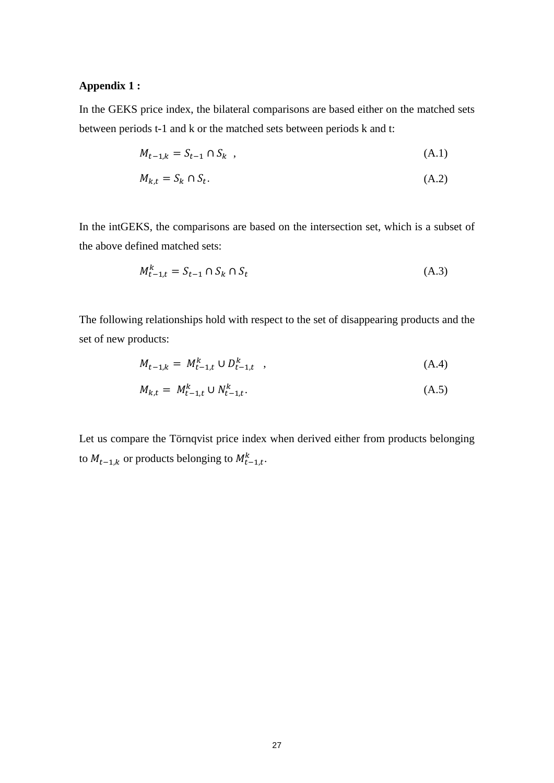## **Appendix 1 :**

In the GEKS price index, the bilateral comparisons are based either on the matched sets between periods t-1 and k or the matched sets between periods k and t:

$$
M_{t-1,k} = S_{t-1} \cap S_k \quad , \tag{A.1}
$$

$$
M_{k,t} = S_k \cap S_t. \tag{A.2}
$$

In the intGEKS, the comparisons are based on the intersection set, which is a subset of the above defined matched sets:

$$
M_{t-1,t}^k = S_{t-1} \cap S_k \cap S_t \tag{A.3}
$$

The following relationships hold with respect to the set of disappearing products and the set of new products:

$$
M_{t-1,k} = M_{t-1,t}^k \cup D_{t-1,t}^k \quad , \tag{A.4}
$$

$$
M_{k,t} = M_{t-1,t}^k \cup N_{t-1,t}^k. \tag{A.5}
$$

Let us compare the Törnqvist price index when derived either from products belonging to  $M_{t-1,k}$  or products belonging to  $M_{t-1,t}^k$ .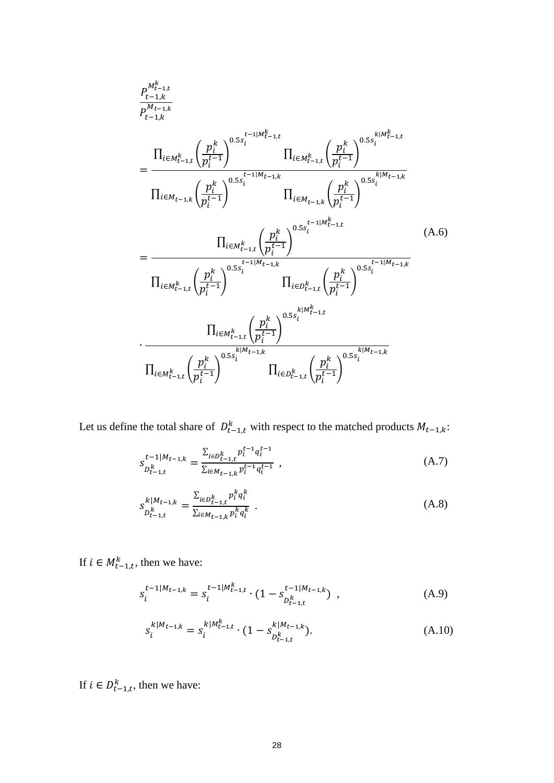$$
P_{t-1,k}^{M_{t-1,k}^k}
$$
\n
$$
= \frac{\prod_{i \in M_{t-1,k}^k} \left( \frac{p_i^k}{p_i^{t-1}} \right)^{0.5s_i^{t-1|M_{t-1,k}^k}} \prod_{i \in M_{t-1,k}^k} \left( \frac{p_i^k}{p_i^{t-1}} \right)^{0.5s_i^{k|M_{t-1,k}^k}}
$$
\n
$$
= \frac{\prod_{i \in M_{t-1,k}^k} \left( \frac{p_i^k}{p_i^{t-1}} \right)^{0.5s_i^{t-1|M_{t-1,k}}}} \prod_{i \in M_{t-1,k}} \left( \frac{p_i^k}{p_i^{t-1}} \right)^{0.5s_i^{k|M_{t-1,k}^k}}
$$
\n
$$
= \frac{\prod_{i \in M_{t-1,k}^k} \left( \frac{p_i^k}{p_i^{t-1}} \right)^{0.5s_i^{t-1|M_{t-1,k}^k}}}{\prod_{i \in M_{t-1,k}^k} \left( \frac{p_i^k}{p_i^{t-1}} \right)^{0.5s_i^{t-1|M_{t-1,k}}}} \prod_{i \in D_{t-1,k}^k} \left( \frac{p_i^k}{p_i^{t-1}} \right)^{0.5s_i^{t-1|M_{t-1,k}^k}}
$$
\n
$$
\cdot \frac{\prod_{i \in M_{t-1,k}^k} \left( \frac{p_i^k}{p_i^{t-1}} \right)^{0.5s_i^{k|M_{t-1,k}^k}}}{\prod_{i \in M_{t-1,k}^k} \left( \frac{p_i^k}{p_i^{t-1}} \right)^{0.5s_i^{k|M_{t-1,k}^k}} \prod_{i \in D_{t-1,k}^k} \left( \frac{p_i^k}{p_i^{t-1}} \right)^{0.5s_i^{k|M_{t-1,k}^k}}
$$
\n
$$
\cdot \frac{\prod_{i \in M_{t-1,k}^k} \left( \frac{p_i^k}{p_i^{t-1}} \right)^{0.5s_i^{k|M_{t-1,k}^k}}}{\prod_{i \in D_{t-1,k}^k} \left( \frac{p_i^k}{p_i^{t-1}} \right)^{0.5s_i^{k|M_{t-1,k}^k}}}
$$
\n(A.6)

Let us define the total share of  $D_{t-1,t}^k$  with respect to the matched products  $M_{t-1,k}$ :

$$
S_{D_{t-1,t}^k}^{t-1|M_{t-1,k}} = \frac{\sum_{i \in D_{t-1,t}^k} p_i^{t-1} q_i^{t-1}}{\sum_{i \in M_{t-1,k}} p_i^{t-1} q_i^{t-1}},
$$
\n(A.7)

$$
S_{D_{t-1,t}^k}^{k|M_{t-1,k}} = \frac{\sum_{i \in D_{t-1,t}^k} p_i^k q_i^k}{\sum_{i \in M_{t-1,k}} p_i^k q_i^k} \tag{A.8}
$$

If  $i \in M_{t-1,t}^k$ , then we have:

$$
s_i^{t-1|M_{t-1,k}} = s_i^{t-1|M_{t-1,k}^k} \cdot (1 - s_{D_{t-1,k}^k}^{t-1|M_{t-1,k}}) \tag{A.9}
$$

$$
s_i^{k|M_{t-1,k}} = s_i^{k|M_{t-1,k}^k} \cdot (1 - s_{D_{t-1,k}^k}^{|M_{t-1,k}|}).
$$
\n(A.10)

If  $i \in D_{t-1,t}^k$ , then we have: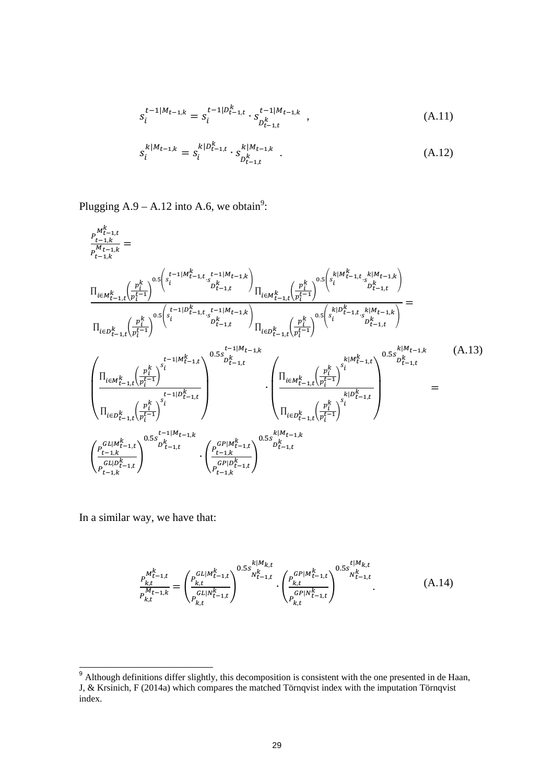$$
s_i^{t-1|M_{t-1,k}} = s_i^{t-1|D_{t-1,t}^k} \cdot s_{D_{t-1,t}^k}^{t-1|M_{t-1,k}} \tag{A.11}
$$

$$
s_i^{k|M_{t-1,k}} = s_i^{k|D_{t-1,k}^k \cdot s_{D_{t-1,k}^k}^{k|M_{t-1,k}} \tag{A.12}
$$

Plugging  $A.9 - A.12$  into A.6, we obtain<sup>9</sup>:

$$
\frac{P_{t-1,k}^{M_{t-1,k}^k}}{P_{t-1,k}^{M_{t-1,k}}} = \frac{\prod_{i \in M_{t-1,k}^k} \left( \frac{p_i^k}{p_i^{t-1}} \right)^{0.5} \left( s_i^{t-1|M_{t-1,k}^k, t-1|M_{t-1,k}} \right)}{\prod_{i \in M_{t-1,k}^k} \left( \frac{p_i^k}{p_i^{t-1}} \right)^{0.5} \left( s_i^{t-1|M_{t-1,k}^k, t-1|M_{t-1,k}} \right)} \frac{\prod_{i \in M_{t-1,k}^k} \left( \frac{p_i^k}{p_i^{t-1}} \right)^{0.5} \left( s_i^{k|M_{t-1,k}^k, s|M_{t-1,k}} \right)}{\prod_{i \in D_{t-1,k}^k} \left( \frac{p_i^k}{p_i^{t-1}} \right)^{0.5} \left( s_i^{t-1|M_{t-1,k}} \right)} \frac{\prod_{i \in D_{t-1,k}^k} \left( \frac{p_i^k}{p_i^{t-1}} \right)^{0.5} \left( s_i^{k|M_{t-1,k}^k, k|M_{t-1,k}} \right)}{\prod_{i \in D_{t-1,k}^k} \left( \frac{p_i^k}{p_i^{t-1}} \right)^{0.5} \left( s_i^{k|M_{t-1,k}^k, t-1}| \right)} \frac{\prod_{i \in M_{t-1,k}^k} \left( \frac{p_i^k}{p_i^{t-1}} \right)^{0.5} \left( s_i^{k|M_{t-1,k}^k, t-1}| \right)}{\prod_{i \in M_{t-1,k}^k} \left( \frac{p_i^k}{p_i^{t-1}} \right)^{0.5} \left( s_i^{k|M_{t-1,k}^k, t-1}| \right)} \frac{\prod_{i \in M_{t-1,k}^k} \left( \frac{p_i^k}{p_i^{t-1}} \right)^{0.5} \left( s_i^{k|M_{t-1,k}^k, t-1}| \right)}{\prod_{i \in D_{t-1,k}^k} \left( \frac{p_i^k}{p_i^{t-1}} \right)^{0.5} \left( s_i^{k|M_{t-1,k}^k, t-1}| \right)} \frac{\prod_{i \in M_{t-1,k}^k} \left( \frac{p_i^k}{p_i^{t
$$

In a similar way, we have that:

 $\overline{\phantom{a}}$ 

$$
\frac{P_{k,t}^{M_{t-1,t}^k}}{P_{k,t}^{M_{t-1,k}}} = \left(\frac{P_{k,t}^{GL|M_{t-1,t}^k}}{P_{k,t}^{GL|N_{t-1,t}^k}}\right)^{0.5s_{N_{t-1,t}^k}^{k|M_{k,t}}}\cdot \left(\frac{P_{k,t}^{GP|M_{t-1,t}^k}}{P_{k,t}^{GP|N_{t-1,t}^k}}\right)^{0.5s_{N_{t-1,t}^k}^{U|M_{k,t}^k}}
$$
(A.14)

<sup>&</sup>lt;sup>9</sup> Although definitions differ slightly, this decomposition is consistent with the one presented in de Haan, J, & Krsinich, F (2014a) which compares the matched Törnqvist index with the imputation Törnqvist index.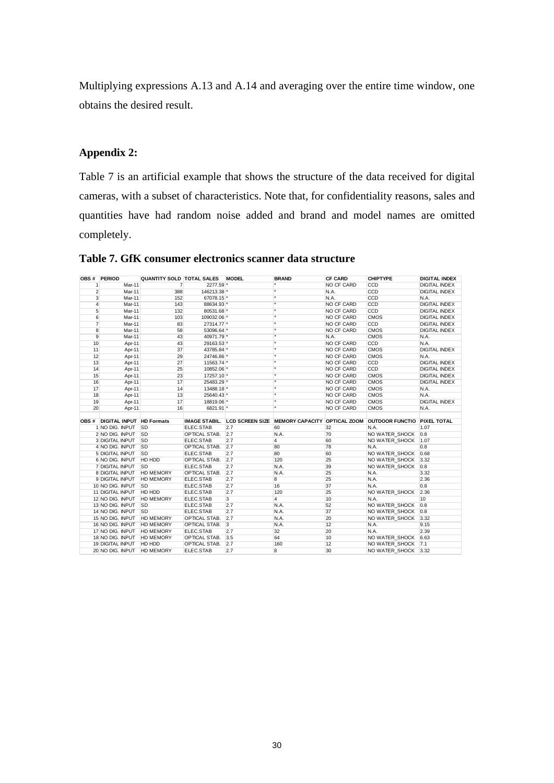Multiplying expressions A.13 and A.14 and averaging over the entire time window, one obtains the desired result.

#### **Appendix 2:**

Table 7 is an artificial example that shows the structure of the data received for digital cameras, with a subset of characteristics. Note that, for confidentiality reasons, sales and quantities have had random noise added and brand and model names are omitted completely.

|                | OBS # PERIOD                   | QUANTITY SOLD TOTAL SALES MODEL |                      |     | <b>BRAND</b>                                                             | <b>CF CARD</b> | <b>CHIPTYPE</b>     | DIGITAL INDEX        |
|----------------|--------------------------------|---------------------------------|----------------------|-----|--------------------------------------------------------------------------|----------------|---------------------|----------------------|
| 1              | Mar-11                         | $\overline{7}$                  | 2277.59 *            |     |                                                                          | NO CF CARD     | CCD                 | DIGITAL INDEX        |
| $\overline{2}$ | Mar-11                         | 388                             | 146213.38 *          |     | $\star$                                                                  | N.A.           | CCD                 | <b>DIGITAL INDEX</b> |
| 3              | Mar-11                         | 152                             | 67078.15 *           |     | $\star$                                                                  | N.A.           | CCD                 | N.A.                 |
| $\overline{4}$ | Mar-11                         | 143                             | 88634.93 *           |     | $\star$                                                                  | NO CF CARD     | CCD                 | <b>DIGITAL INDEX</b> |
| 5              | Mar-11                         | 132                             | 80531.68 *           |     | $\star$                                                                  | NO CF CARD     | CCD                 | DIGITAL INDEX        |
| 6              | Mar-11                         | 103                             | 109032.06 *          |     | ×                                                                        | NO CF CARD     | <b>CMOS</b>         | <b>DIGITAL INDEX</b> |
| $\overline{7}$ | Mar-11                         | 83                              | 27314.77 *           |     | $\star$                                                                  | NO CF CARD     | CCD                 | <b>DIGITAL INDEX</b> |
| 8              | Mar-11                         | 58                              | 53096.64 *           |     | ×                                                                        | NO CF CARD     | <b>CMOS</b>         | <b>DIGITAL INDEX</b> |
| 9              | Mar-11                         | 43                              | 40971.79 *           |     | ×                                                                        | N.A.           | <b>CMOS</b>         | N.A.                 |
| 10             | Apr-11                         | 43                              | 29163.53 *           |     | $\overline{\ast}$                                                        | NO CF CARD     | CCD                 | N.A.                 |
| 11             | Apr-11                         | 37                              | 43785.84 *           |     | ä.                                                                       | NO CF CARD     | <b>CMOS</b>         | <b>DIGITAL INDEX</b> |
| 12             | Apr-11                         | 29                              | 24746.86 *           |     | $\overline{\ast}$                                                        | NO CF CARD     | <b>CMOS</b>         | N.A.                 |
| 13             | Apr-11                         | 27                              | 11563.74 *           |     | $\overline{\ast}$                                                        | NO CF CARD     | CCD                 | <b>DIGITAL INDEX</b> |
| 14             | Apr-11                         | 25                              | 10852.06 *           |     | $\star$                                                                  | NO CF CARD     | CCD                 | DIGITAL INDEX        |
| 15             | Apr-11                         | 23                              | 17257.10 *           |     | $\star$                                                                  | NO CF CARD     | <b>CMOS</b>         | DIGITAL INDEX        |
| 16             | Apr-11                         | 17                              | 25483.29 *           |     | $\star$                                                                  | NO CF CARD     | <b>CMOS</b>         | <b>DIGITAL INDEX</b> |
| 17             | Apr-11                         | 14                              | 13488.18 *           |     | $\star$                                                                  | NO CF CARD     | <b>CMOS</b>         | N.A.                 |
| 18             | Apr-11                         | 13                              | 25640.43 *           |     | $\star$                                                                  | NO CF CARD     | <b>CMOS</b>         | N.A.                 |
| 19             | Apr-11                         | 17                              | 18819.06 *           |     |                                                                          | NO CF CARD     | <b>CMOS</b>         | <b>DIGITAL INDEX</b> |
| 20             | Apr-11                         | 16                              | 6821.91 *            |     | $\overline{\ast}$                                                        | NO CF CARD     | <b>CMOS</b>         | N.A.                 |
|                |                                |                                 |                      |     |                                                                          |                |                     |                      |
|                | OBS # DIGITAL INPUT HD Formats |                                 | <b>IMAGE STABIL.</b> |     | LCD SCREEN SIZE MEMORY CAPACITY OPTICAL ZOOM OUTDOOR FUNCTIO PIXEL TOTAL |                |                     |                      |
|                | 1 NO DIG. INPUT SD             |                                 | ELEC.STAB            | 2.7 | 60                                                                       | 32             | N.A.                | 1.07                 |
|                | 2 NO DIG. INPUT SD             |                                 | OPTICAL STAB.        | 2.7 | N.A.                                                                     | 70             | NO WATER SHOCK 0.8  |                      |
|                | <b>3 DIGITAL INPUT</b>         | <b>SD</b>                       | ELEC.STAB            | 2.7 | $\overline{4}$                                                           | 60             | NO WATER SHOCK      | 1.07                 |
|                | 4 NO DIG. INPUT SD             |                                 | OPTICAL STAB.        | 2.7 | 80                                                                       | 78             | N.A.                | 0.8                  |
|                | 5 DIGITAL INPUT SD             |                                 | ELEC.STAB            | 2.7 | 80                                                                       | 60             | NO WATER SHOCK 0.68 |                      |
|                | 6 NO DIG. INPUT HD HDD         |                                 | OPTICAL STAB.        | 2.7 | 120                                                                      | 25             | NO WATER SHOCK 3.32 |                      |
|                | 7 DIGITAL INPUT SD             |                                 | ELEC.STAB            | 2.7 | N.A.                                                                     | 39             | NO WATER SHOCK      | 0.8                  |
|                | 8 DIGITAL INPUT HD MEMORY      |                                 | OPTICAL STAB.        | 2.7 | N.A.                                                                     | 25             | N.A.                | 3.32                 |
|                | 9 DIGITAL INPUT HD MEMORY      |                                 | ELEC.STAB            | 2.7 | 8                                                                        | 25             | N.A.                | 2.36                 |
|                | 10 NO DIG. INPUT SD            |                                 | ELEC.STAB            | 2.7 | 16                                                                       | 37             | N.A.                | 0.8                  |
|                | 11 DIGITAL INPUT HD HDD        |                                 | ELEC.STAB            | 2.7 | 120                                                                      | 25             | NO WATER SHOCK      | 2.36                 |
|                | 12 NO DIG. INPUT HD MEMORY     |                                 | ELEC.STAB            | 3   | $\overline{4}$                                                           | 10             | N.A.                | 10                   |
|                | 13 NO DIG. INPUT SD            |                                 | ELEC.STAB            | 2.7 | N.A.                                                                     | 52             | NO WATER SHOCK 0.8  |                      |
|                | 14 NO DIG. INPUT SD            |                                 | ELEC.STAB            | 2.7 | N.A.                                                                     | 37             | NO WATER SHOCK      | 0.8                  |
|                | 15 NO DIG. INPUT HD MEMORY     |                                 | OPTICAL STAB.        | 2.7 | N.A.                                                                     | 20             | NO WATER SHOCK      | 3.32                 |
|                | 16 NO DIG. INPUT HD MEMORY     |                                 | OPTICAL STAB.        | 3   | N.A.                                                                     | 12             | N.A.                | 9.15                 |
|                | 17 NO DIG. INPUT HD MEMORY     |                                 | ELEC.STAB            | 2.7 | 32                                                                       | 20             | N.A.                | 2.39                 |
|                | 18 NO DIG. INPUT HD MEMORY     |                                 | OPTICAL STAB.        | 3.5 | 64                                                                       | 10             | NO WATER_SHOCK 6.63 |                      |
|                | 19 DIGITAL INPUT HD HDD        |                                 | OPTICAL STAB.        | 2.7 | 160                                                                      | 12             | NO WATER SHOCK 7.1  |                      |
|                | 20 NO DIG. INPUT HD MEMORY     |                                 | ELEC.STAB            | 2.7 | 8                                                                        | 30             | NO WATER SHOCK      | 3.32                 |

**Table 7. GfK consumer electronics scanner data structure**